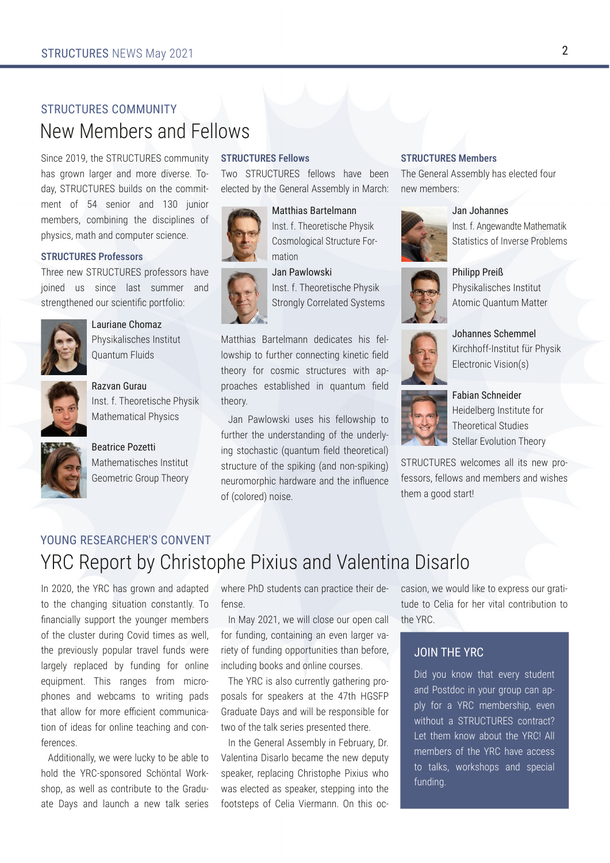# STRUCTURES COMMUNITY New Members and Fellows

Since 2019, the STRUCTURES community has grown larger and more diverse. Today, STRUCTURES builds on the commit‐ ment of 54 senior and 130 junior members, combining the disciplines of physics, math and computer science.

### STRUCTURES Professors

Three new STRUCTURES professors have joined us since last summer and strengthened our scientific portfolio:



## Lauriane Chomaz

Physikalisches Institut Quantum Fluids



Razvan Gurau Inst. f. Theoretische Physik Mathematical Physics



Beatrice Pozetti Mathematisches Institut Geometric Group Theory

# STRUCTURES Fellows

Two STRUCTURES fellows have been elected by the General Assembly in March:





Cosmological Structure For‐ mation

#### Jan Pawlowski

Inst. f. Theoretische Physik Strongly Correlated Systems

Matthias Bartelmann dedicates his fel‐ lowship to further connecting kinetic field theory for cosmic structures with ap‐ proaches established in quantum field theory.

Jan Pawlowski uses his fellowship to further the understanding of the underly‐ ing stochastic (quantum field theoretical) structure of the spiking (and non-spiking) neuromorphic hardware and the influence of (colored) noise.

## STRUCTURES Members

The General Assembly has elected four new members:

# Jan Johannes



Inst. f. Angewandte Mathematik Statistics of Inverse Problems



Philipp Preiß Physikalisches Institut Atomic Quantum Matter



Johannes Schemmel Kirchhoff-Institut für Physik Electronic Vision(s)



Fabian Schneider Heidelberg Institute for Theoretical Studies Stellar Evolution Theory

STRUCTURES welcomes all its new professors, fellows and members and wishes them a good start!

# YOUNG RESEARCHER'S CONVENT YRC Report by Christophe Pixius and Valentina Disarlo

In 2020, the YRC has grown and adapted to the changing situation constantly. To financially support the younger members of the cluster during Covid times as well, the previously popular travel funds were largely replaced by funding for online equipment. This ranges from microphones and webcams to writing pads that allow for more efficient communication of ideas for online teaching and conferences.

Additionally, we were lucky to be able to hold the YRC-sponsored Schöntal Work‐ shop, as well as contribute to the Graduate Days and launch a new talk series where PhD students can practice their defense.

In May 2021, we will close our open call for funding, containing an even larger variety of funding opportunities than before, including books and online courses.

The YRC is also currently gathering pro‐ posals for speakers at the 47th HGSFP Graduate Days and will be responsible for two of the talk series presented there.

In the General Assembly in February, Dr. Valentina Disarlo became the new deputy speaker, replacing Christophe Pixius who was elected as speaker, stepping into the footsteps of Celia Viermann. On this oc‐

casion, we would like to express our gratitude to Celia for her vital contribution to the YRC.

# JOIN THE YRC

Did you know that every student and Postdoc in your group can ap‐ ply for a YRC membership, even without a STRUCTURES contract? Let them know about the YRC! All members of the YRC have access to talks, workshops and special funding.